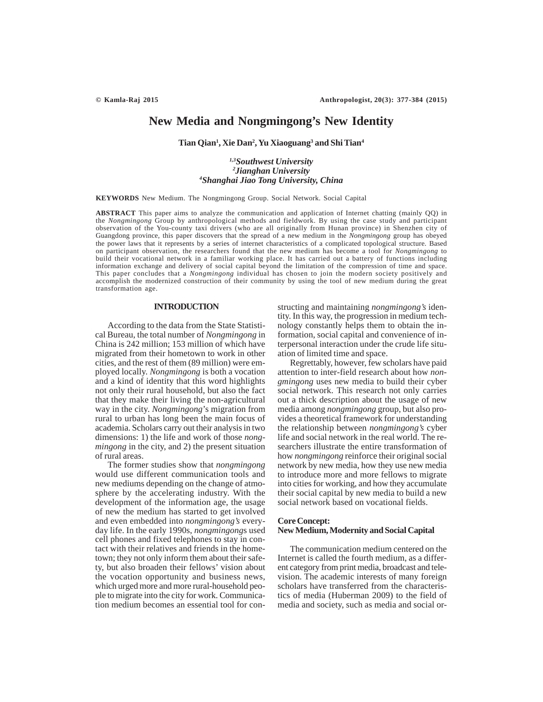# **New Media and Nongmingong's New Identity**

**Tian Qian1 , Xie Dan2 , Yu Xiaoguang3 and Shi Tian4**

# *1,3Southwest University 2 Jianghan University 4 Shanghai Jiao Tong University, China*

**KEYWORDS** New Medium. The Nongmingong Group. Social Network. Social Capital

**ABSTRACT** This paper aims to analyze the communication and application of Internet chatting (mainly QQ) in the *Nongmingong* Group by anthropological methods and fieldwork. By using the case study and participant observation of the You-county taxi drivers (who are all originally from Hunan province) in Shenzhen city of Guangdong province, this paper discovers that the spread of a new medium in the *Nongmingong* group has obeyed the power laws that it represents by a series of internet characteristics of a complicated topological structure. Based on participant observation, the researchers found that the new medium has become a tool for *Nongmingong* to build their vocational network in a familiar working place. It has carried out a battery of functions including information exchange and delivery of social capital beyond the limitation of the compression of time and space. This paper concludes that a *Nongmingong* individual has chosen to join the modern society positively and accomplish the modernized construction of their community by using the tool of new medium during the great transformation age.

# **INTRODUCTION**

According to the data from the State Statistical Bureau, the total number of *Nongmingong* in China is 242 million; 153 million of which have migrated from their hometown to work in other cities, and the rest of them (89 million) were employed locally. *Nongmingong* is both a vocation and a kind of identity that this word highlights not only their rural household, but also the fact that they make their living the non-agricultural way in the city. *Nongmingong*'s migration from rural to urban has long been the main focus of academia. Scholars carry out their analysis in two dimensions: 1) the life and work of those *nongmingong* in the city, and 2) the present situation of rural areas.

The former studies show that *nongmingong* would use different communication tools and new mediums depending on the change of atmosphere by the accelerating industry. With the development of the information age, the usage of new the medium has started to get involved and even embedded into *nongmingong's* everyday life. In the early 1990s, *nongmingong*s used cell phones and fixed telephones to stay in contact with their relatives and friends in the hometown; they not only inform them about their safety, but also broaden their fellows' vision about the vocation opportunity and business news, which urged more and more rural-household people to migrate into the city for work. Communication medium becomes an essential tool for constructing and maintaining *nongmingong's* identity. In this way, the progression in medium technology constantly helps them to obtain the information, social capital and convenience of interpersonal interaction under the crude life situation of limited time and space.

Regrettably, however, few scholars have paid attention to inter-field research about how *nongmingong* uses new media to build their cyber social network. This research not only carries out a thick description about the usage of new media among *nongmingong* group, but also provides a theoretical framework for understanding the relationship between *nongmingong's* cyber life and social network in the real world. The researchers illustrate the entire transformation of how *nongmingong* reinforce their original social network by new media, how they use new media to introduce more and more fellows to migrate into cities for working, and how they accumulate their social capital by new media to build a new social network based on vocational fields.

#### **Core Concept:**

### **New Medium, Modernity and Social Capital**

The communication medium centered on the Internet is called the fourth medium, as a different category from print media, broadcast and television. The academic interests of many foreign scholars have transferred from the characteristics of media (Huberman 2009) to the field of media and society, such as media and social or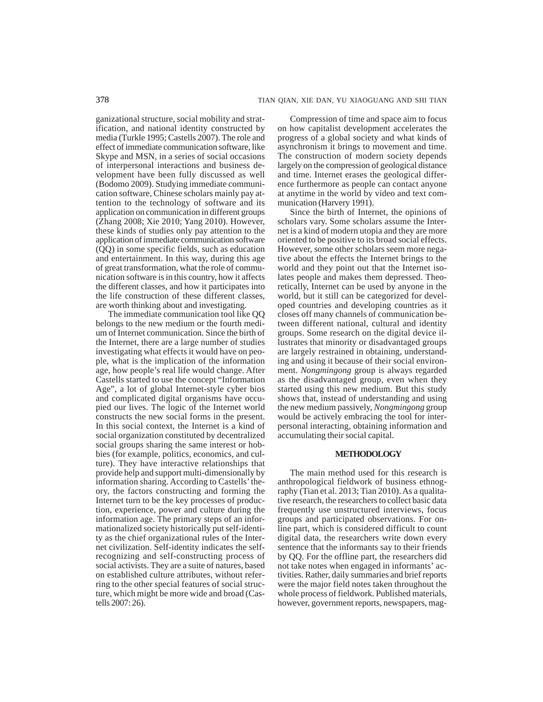ganizational structure, social mobility and stratification, and national identity constructed by media (Turkle 1995; Castells 2007). The role and effect of immediate communication software, like Skype and MSN, in a series of social occasions of interpersonal interactions and business development have been fully discussed as well (Bodomo 2009). Studying immediate communication software, Chinese scholars mainly pay attention to the technology of software and its application on communication in different groups (Zhang 2008; Xie 2010; Yang 2010). However, these kinds of studies only pay attention to the application of immediate communication software (QQ) in some specific fields, such as education and entertainment. In this way, during this age of great transformation, what the role of communication software is in this country, how it affects the different classes, and how it participates into the life construction of these different classes, are worth thinking about and investigating.

The immediate communication tool like QQ belongs to the new medium or the fourth medium of Internet communication. Since the birth of the Internet, there are a large number of studies investigating what effects it would have on people, what is the implication of the information age, how people's real life would change. After Castells started to use the concept "Information Age", a lot of global Internet-style cyber bios and complicated digital organisms have occupied our lives. The logic of the Internet world constructs the new social forms in the present. In this social context, the Internet is a kind of social organization constituted by decentralized social groups sharing the same interest or hobbies (for example, politics, economics, and culture). They have interactive relationships that provide help and support multi-dimensionally by information sharing. According to Castells' theory, the factors constructing and forming the Internet turn to be the key processes of production, experience, power and culture during the information age. The primary steps of an informationalized society historically put self-identity as the chief organizational rules of the Internet civilization. Self-identity indicates the selfrecognizing and self-constructing process of social activists. They are a suite of natures, based on established culture attributes, without referring to the other special features of social structure, which might be more wide and broad (Castells 2007: 26).

Compression of time and space aim to focus on how capitalist development accelerates the progress of a global society and what kinds of asynchronism it brings to movement and time. The construction of modern society depends largely on the compression of geological distance and time. Internet erases the geological difference furthermore as people can contact anyone at anytime in the world by video and text communication (Harvery 1991).

Since the birth of Internet, the opinions of scholars vary. Some scholars assume the Internet is a kind of modern utopia and they are more oriented to be positive to its broad social effects. However, some other scholars seem more negative about the effects the Internet brings to the world and they point out that the Internet isolates people and makes them depressed. Theoretically, Internet can be used by anyone in the world, but it still can be categorized for developed countries and developing countries as it closes off many channels of communication between different national, cultural and identity groups. Some research on the digital device illustrates that minority or disadvantaged groups are largely restrained in obtaining, understanding and using it because of their social environment. *Nongmingong* group is always regarded as the disadvantaged group, even when they started using this new medium. But this study shows that, instead of understanding and using the new medium passively, *Nongmingong* group would be actively embracing the tool for interpersonal interacting, obtaining information and accumulating their social capital.

# **METHODOLOGY**

The main method used for this research is anthropological fieldwork of business ethnography (Tian et al. 2013; Tian 2010). As a qualitative research, the researchers to collect basic data frequently use unstructured interviews, focus groups and participated observations. For online part, which is considered difficult to count digital data, the researchers write down every sentence that the informants say to their friends by QQ. For the offline part, the researchers did not take notes when engaged in informants' activities. Rather, daily summaries and brief reports were the major field notes taken throughout the whole process of fieldwork. Published materials, however, government reports, newspapers, mag-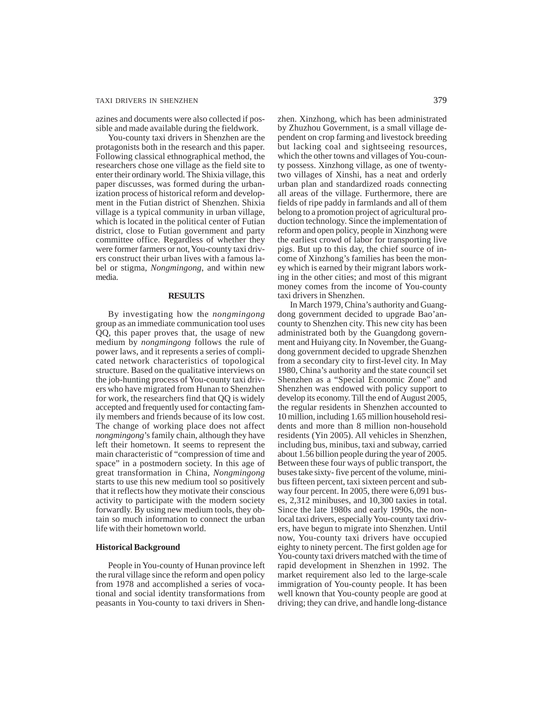# TAXI DRIVERS IN SHENZHEN 379

azines and documents were also collected if possible and made available during the fieldwork.

You-county taxi drivers in Shenzhen are the protagonists both in the research and this paper. Following classical ethnographical method, the researchers chose one village as the field site to enter their ordinary world. The Shixia village, this paper discusses, was formed during the urbanization process of historical reform and development in the Futian district of Shenzhen. Shixia village is a typical community in urban village, which is located in the political center of Futian district, close to Futian government and party committee office. Regardless of whether they were former farmers or not, You-county taxi drivers construct their urban lives with a famous label or stigma, *Nongmingong*, and within new media.

### **RESULTS**

By investigating how the *nongmingong* group as an immediate communication tool uses QQ, this paper proves that, the usage of new medium by *nongmingong* follows the rule of power laws, and it represents a series of complicated network characteristics of topological structure. Based on the qualitative interviews on the job-hunting process of You-county taxi drivers who have migrated from Hunan to Shenzhen for work, the researchers find that QQ is widely accepted and frequently used for contacting family members and friends because of its low cost. The change of working place does not affect *nongmingong*'s family chain, although they have left their hometown. It seems to represent the main characteristic of "compression of time and space" in a postmodern society. In this age of great transformation in China, *Nongmingong* starts to use this new medium tool so positively that it reflects how they motivate their conscious activity to participate with the modern society forwardly. By using new medium tools, they obtain so much information to connect the urban life with their hometown world.

#### **Historical Background**

People in You-county of Hunan province left the rural village since the reform and open policy from 1978 and accomplished a series of vocational and social identity transformations from peasants in You-county to taxi drivers in Shenzhen. Xinzhong, which has been administrated by Zhuzhou Government, is a small village dependent on crop farming and livestock breeding but lacking coal and sightseeing resources, which the other towns and villages of You-county possess. Xinzhong village, as one of twentytwo villages of Xinshi, has a neat and orderly urban plan and standardized roads connecting all areas of the village. Furthermore, there are fields of ripe paddy in farmlands and all of them belong to a promotion project of agricultural production technology. Since the implementation of reform and open policy, people in Xinzhong were the earliest crowd of labor for transporting live pigs. But up to this day, the chief source of income of Xinzhong's families has been the money which is earned by their migrant labors working in the other cities; and most of this migrant money comes from the income of You-county taxi drivers in Shenzhen.

In March 1979, China's authority and Guangdong government decided to upgrade Bao'ancounty to Shenzhen city. This new city has been administrated both by the Guangdong government and Huiyang city. In November, the Guangdong government decided to upgrade Shenzhen from a secondary city to first-level city. In May 1980, China's authority and the state council set Shenzhen as a "Special Economic Zone" and Shenzhen was endowed with policy support to develop its economy. Till the end of August 2005, the regular residents in Shenzhen accounted to 10 million, including 1.65 million household residents and more than 8 million non-household residents (Yin 2005). All vehicles in Shenzhen, including bus, minibus, taxi and subway, carried about 1.56 billion people during the year of 2005. Between these four ways of public transport, the buses take sixty- five percent of the volume, minibus fifteen percent, taxi sixteen percent and subway four percent. In 2005, there were 6,091 buses, 2,312 minibuses, and 10,300 taxies in total. Since the late 1980s and early 1990s, the nonlocal taxi drivers, especially You-county taxi drivers, have begun to migrate into Shenzhen. Until now, You-county taxi drivers have occupied eighty to ninety percent. The first golden age for You-county taxi drivers matched with the time of rapid development in Shenzhen in 1992. The market requirement also led to the large-scale immigration of You-county people. It has been well known that You-county people are good at driving; they can drive, and handle long-distance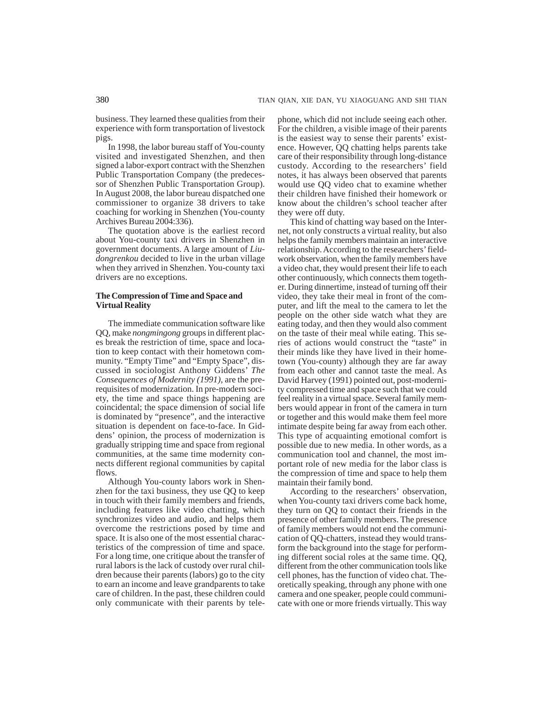business. They learned these qualities from their experience with form transportation of livestock pigs.

In 1998, the labor bureau staff of You-county visited and investigated Shenzhen, and then signed a labor-export contract with the Shenzhen Public Transportation Company (the predecessor of Shenzhen Public Transportation Group). In August 2008, the labor bureau dispatched one commissioner to organize 38 drivers to take coaching for working in Shenzhen (You-county Archives Bureau 2004:336).

The quotation above is the earliest record about You-county taxi drivers in Shenzhen in government documents. A large amount of *Liudongrenkou* decided to live in the urban village when they arrived in Shenzhen. You-county taxi drivers are no exceptions.

# **The Compression of Time and Space and Virtual Reality**

The immediate communication software like QQ, make *nongmingong* groups in different places break the restriction of time, space and location to keep contact with their hometown community. "Empty Time" and "Empty Space", discussed in sociologist Anthony Giddens' *The Consequences of Modernity (1991)*, are the prerequisites of modernization. In pre-modern society, the time and space things happening are coincidental; the space dimension of social life is dominated by "presence", and the interactive situation is dependent on face-to-face. In Giddens' opinion, the process of modernization is gradually stripping time and space from regional communities, at the same time modernity connects different regional communities by capital flows.

Although You-county labors work in Shenzhen for the taxi business, they use QQ to keep in touch with their family members and friends, including features like video chatting, which synchronizes video and audio, and helps them overcome the restrictions posed by time and space. It is also one of the most essential characteristics of the compression of time and space. For a long time, one critique about the transfer of rural labors is the lack of custody over rural children because their parents (labors) go to the city to earn an income and leave grandparents to take care of children. In the past, these children could only communicate with their parents by telephone, which did not include seeing each other. For the children, a visible image of their parents is the easiest way to sense their parents' existence. However, QQ chatting helps parents take care of their responsibility through long-distance custody. According to the researchers' field notes, it has always been observed that parents would use QQ video chat to examine whether their children have finished their homework or know about the children's school teacher after they were off duty.

This kind of chatting way based on the Internet, not only constructs a virtual reality, but also helps the family members maintain an interactive relationship. According to the researchers' fieldwork observation, when the family members have a video chat, they would present their life to each other continuously, which connects them together. During dinnertime, instead of turning off their video, they take their meal in front of the computer, and lift the meal to the camera to let the people on the other side watch what they are eating today, and then they would also comment on the taste of their meal while eating. This series of actions would construct the "taste" in their minds like they have lived in their hometown (You-county) although they are far away from each other and cannot taste the meal. As David Harvey (1991) pointed out, post-modernity compressed time and space such that we could feel reality in a virtual space. Several family members would appear in front of the camera in turn or together and this would make them feel more intimate despite being far away from each other. This type of acquainting emotional comfort is possible due to new media. In other words, as a communication tool and channel, the most important role of new media for the labor class is the compression of time and space to help them maintain their family bond.

According to the researchers' observation, when You-county taxi drivers come back home, they turn on QQ to contact their friends in the presence of other family members. The presence of family members would not end the communication of QQ-chatters, instead they would transform the background into the stage for performing different social roles at the same time. QQ, different from the other communication tools like cell phones, has the function of video chat. Theoretically speaking, through any phone with one camera and one speaker, people could communicate with one or more friends virtually. This way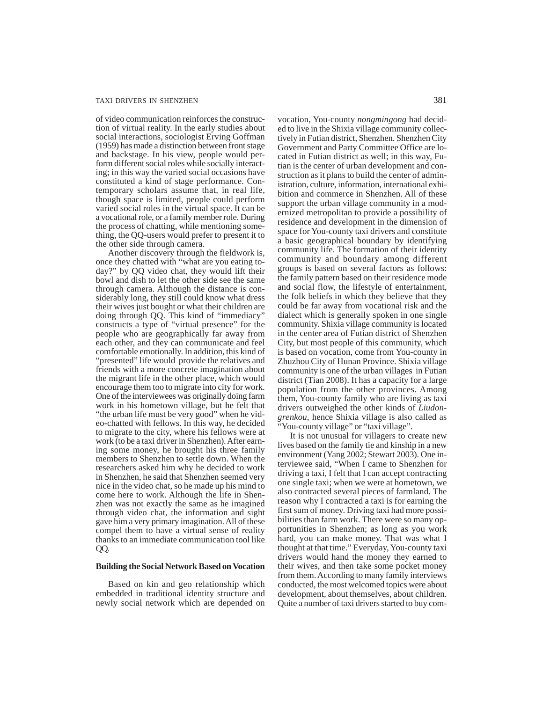#### TAXI DRIVERS IN SHENZHEN 381

of video communication reinforces the construction of virtual reality. In the early studies about social interactions, sociologist Erving Goffman (1959) has made a distinction between front stage and backstage. In his view, people would perform different social roles while socially interacting; in this way the varied social occasions have constituted a kind of stage performance. Contemporary scholars assume that, in real life, though space is limited, people could perform varied social roles in the virtual space. It can be a vocational role, or a family member role. During the process of chatting, while mentioning something, the QQ-users would prefer to present it to the other side through camera.

Another discovery through the fieldwork is, once they chatted with "what are you eating today?" by QQ video chat, they would lift their bowl and dish to let the other side see the same through camera. Although the distance is considerably long, they still could know what dress their wives just bought or what their children are doing through QQ. This kind of "immediacy" constructs a type of "virtual presence" for the people who are geographically far away from each other, and they can communicate and feel comfortable emotionally. In addition, this kind of "presented" life would provide the relatives and friends with a more concrete imagination about the migrant life in the other place, which would encourage them too to migrate into city for work. One of the interviewees was originally doing farm work in his hometown village, but he felt that "the urban life must be very good" when he video-chatted with fellows. In this way, he decided to migrate to the city, where his fellows were at work (to be a taxi driver in Shenzhen). After earning some money, he brought his three family members to Shenzhen to settle down. When the researchers asked him why he decided to work in Shenzhen, he said that Shenzhen seemed very nice in the video chat, so he made up his mind to come here to work. Although the life in Shenzhen was not exactly the same as he imagined through video chat, the information and sight gave him a very primary imagination. All of these compel them to have a virtual sense of reality thanks to an immediate communication tool like QQ.

# **Building the Social Network Based on Vocation**

Based on kin and geo relationship which embedded in traditional identity structure and newly social network which are depended on vocation, You-county *nongmingong* had decided to live in the Shixia village community collectively in Futian district, Shenzhen. Shenzhen City Government and Party Committee Office are located in Futian district as well; in this way, Futian is the center of urban development and construction as it plans to build the center of administration, culture, information, international exhibition and commerce in Shenzhen. All of these support the urban village community in a modernized metropolitan to provide a possibility of residence and development in the dimension of space for You-county taxi drivers and constitute a basic geographical boundary by identifying community life. The formation of their identity community and boundary among different groups is based on several factors as follows: the family pattern based on their residence mode and social flow, the lifestyle of entertainment, the folk beliefs in which they believe that they could be far away from vocational risk and the dialect which is generally spoken in one single community. Shixia village community is located in the center area of Futian district of Shenzhen City, but most people of this community, which is based on vocation, come from You-county in Zhuzhou City of Hunan Province. Shixia village community is one of the urban villages in Futian district (Tian 2008). It has a capacity for a large population from the other provinces. Among them, You-county family who are living as taxi drivers outweighed the other kinds of *Liudongrenkou*, hence Shixia village is also called as "You-county village" or "taxi village".

It is not unusual for villagers to create new lives based on the family tie and kinship in a new environment (Yang 2002; Stewart 2003). One interviewee said, "When I came to Shenzhen for driving a taxi, I felt that I can accept contracting one single taxi; when we were at hometown, we also contracted several pieces of farmland. The reason why I contracted a taxi is for earning the first sum of money. Driving taxi had more possibilities than farm work. There were so many opportunities in Shenzhen; as long as you work hard, you can make money. That was what I thought at that time." Everyday, You-county taxi drivers would hand the money they earned to their wives, and then take some pocket money from them. According to many family interviews conducted, the most welcomed topics were about development, about themselves, about children. Quite a number of taxi drivers started to buy com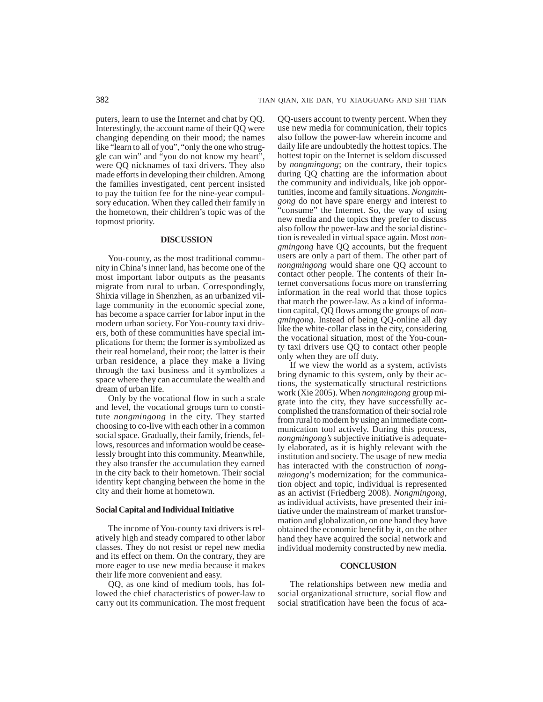puters, learn to use the Internet and chat by QQ. Interestingly, the account name of their QQ were changing depending on their mood; the names like "learn to all of you", "only the one who struggle can win" and "you do not know my heart", were QQ nicknames of taxi drivers. They also made efforts in developing their children. Among the families investigated, cent percent insisted to pay the tuition fee for the nine-year compulsory education. When they called their family in the hometown, their children's topic was of the topmost priority.

# **DISCUSSION**

You-county, as the most traditional community in China's inner land, has become one of the most important labor outputs as the peasants migrate from rural to urban. Correspondingly, Shixia village in Shenzhen, as an urbanized village community in the economic special zone, has become a space carrier for labor input in the modern urban society. For You-county taxi drivers, both of these communities have special implications for them; the former is symbolized as their real homeland, their root; the latter is their urban residence, a place they make a living through the taxi business and it symbolizes a space where they can accumulate the wealth and dream of urban life.

Only by the vocational flow in such a scale and level, the vocational groups turn to constitute *nongmingong* in the city. They started choosing to co-live with each other in a common social space. Gradually, their family, friends, fellows, resources and information would be ceaselessly brought into this community. Meanwhile, they also transfer the accumulation they earned in the city back to their hometown. Their social identity kept changing between the home in the city and their home at hometown.

#### **Social Capital and Individual Initiative**

The income of You-county taxi drivers is relatively high and steady compared to other labor classes. They do not resist or repel new media and its effect on them. On the contrary, they are more eager to use new media because it makes their life more convenient and easy.

QQ, as one kind of medium tools, has followed the chief characteristics of power-law to carry out its communication. The most frequent QQ-users account to twenty percent. When they use new media for communication, their topics also follow the power-law wherein income and daily life are undoubtedly the hottest topics. The hottest topic on the Internet is seldom discussed by *nongmingong*; on the contrary, their topics during QQ chatting are the information about the community and individuals, like job opportunities, income and family situations. *Nongmingong* do not have spare energy and interest to "consume" the Internet. So, the way of using new media and the topics they prefer to discuss also follow the power-law and the social distinction is revealed in virtual space again. Most *nongmingong* have QQ accounts, but the frequent users are only a part of them. The other part of *nongmingong* would share one QQ account to contact other people. The contents of their Internet conversations focus more on transferring information in the real world that those topics that match the power-law. As a kind of information capital, QQ flows among the groups of *nongmingong*. Instead of being QQ-online all day like the white-collar class in the city, considering the vocational situation, most of the You-county taxi drivers use QQ to contact other people only when they are off duty.

If we view the world as a system, activists bring dynamic to this system, only by their actions, the systematically structural restrictions work (Xie 2005). When *nongmingong* group migrate into the city, they have successfully accomplished the transformation of their social role from rural to modern by using an immediate communication tool actively. During this process, *nongmingong's* subjective initiative is adequately elaborated, as it is highly relevant with the institution and society. The usage of new media has interacted with the construction of *nongmingong*'s modernization; for the communication object and topic, individual is represented as an activist (Friedberg 2008). *Nongmingong*, as individual activists, have presented their initiative under the mainstream of market transformation and globalization, on one hand they have obtained the economic benefit by it, on the other hand they have acquired the social network and individual modernity constructed by new media.

# **CONCLUSION**

The relationships between new media and social organizational structure, social flow and social stratification have been the focus of aca-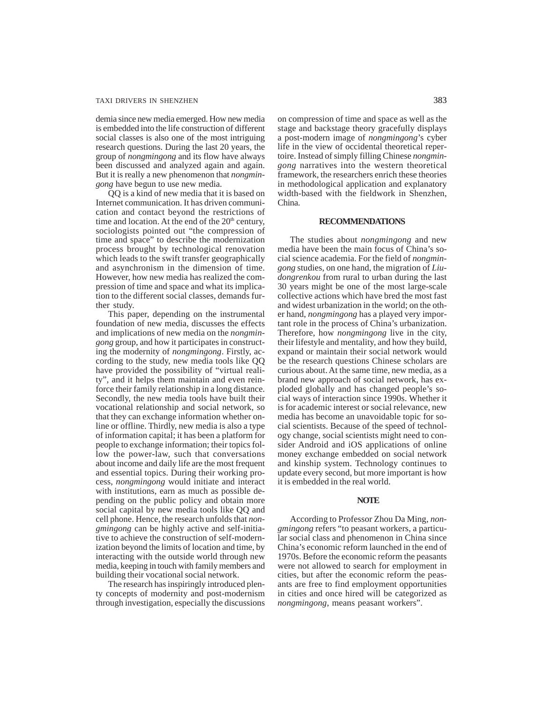#### TAXI DRIVERS IN SHENZHEN 383

demia since new media emerged. How new media is embedded into the life construction of different social classes is also one of the most intriguing research questions. During the last 20 years, the group of *nongmingong* and its flow have always been discussed and analyzed again and again. But it is really a new phenomenon that *nongmingong* have begun to use new media.

QQ is a kind of new media that it is based on Internet communication. It has driven communication and contact beyond the restrictions of time and location. At the end of the  $20<sup>th</sup>$  century, sociologists pointed out "the compression of time and space" to describe the modernization process brought by technological renovation which leads to the swift transfer geographically and asynchronism in the dimension of time. However, how new media has realized the compression of time and space and what its implication to the different social classes, demands further study.

This paper, depending on the instrumental foundation of new media, discusses the effects and implications of new media on the *nongmingong* group, and how it participates in constructing the modernity of *nongmingong*. Firstly, according to the study, new media tools like QQ have provided the possibility of "virtual reality", and it helps them maintain and even reinforce their family relationship in a long distance. Secondly, the new media tools have built their vocational relationship and social network, so that they can exchange information whether online or offline. Thirdly, new media is also a type of information capital; it has been a platform for people to exchange information; their topics follow the power-law, such that conversations about income and daily life are the most frequent and essential topics. During their working process, *nongmingong* would initiate and interact with institutions, earn as much as possible depending on the public policy and obtain more social capital by new media tools like QQ and cell phone. Hence, the research unfolds that *nongmingong* can be highly active and self-initiative to achieve the construction of self-modernization beyond the limits of location and time, by interacting with the outside world through new media, keeping in touch with family members and building their vocational social network.

The research has inspiringly introduced plenty concepts of modernity and post-modernism through investigation, especially the discussions

on compression of time and space as well as the stage and backstage theory gracefully displays a post-modern image of *nongmingong*'s cyber life in the view of occidental theoretical repertoire. Instead of simply filling Chinese *nongmingong* narratives into the western theoretical framework, the researchers enrich these theories in methodological application and explanatory width-based with the fieldwork in Shenzhen, China.

# **RECOMMENDATIONS**

The studies about *nongmingong* and new media have been the main focus of China's social science academia. For the field of *nongmingong* studies, on one hand, the migration of *Liudongrenkou* from rural to urban during the last 30 years might be one of the most large-scale collective actions which have bred the most fast and widest urbanization in the world; on the other hand, *nongmingong* has a played very important role in the process of China's urbanization. Therefore, how *nongmingong* live in the city, their lifestyle and mentality, and how they build, expand or maintain their social network would be the research questions Chinese scholars are curious about. At the same time, new media, as a brand new approach of social network, has exploded globally and has changed people's social ways of interaction since 1990s. Whether it is for academic interest or social relevance, new media has become an unavoidable topic for social scientists. Because of the speed of technology change, social scientists might need to consider Android and iOS applications of online money exchange embedded on social network and kinship system. Technology continues to update every second, but more important is how it is embedded in the real world.

### **NOTE**

According to Professor Zhou Da Ming, *nongmingong* refers "to peasant workers, a particular social class and phenomenon in China since China's economic reform launched in the end of 1970s. Before the economic reform the peasants were not allowed to search for employment in cities, but after the economic reform the peasants are free to find employment opportunities in cities and once hired will be categorized as *nongmingong*, means peasant workers".